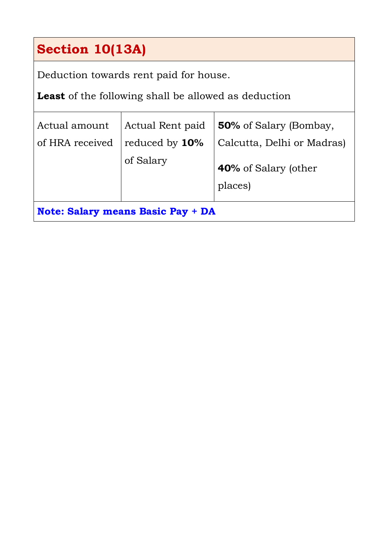# **Section 10(13A)**

Deduction towards rent paid for house.

**Least** of the following shall be allowed as deduction

| Actual amount                            | Actual Rent paid | <b>50%</b> of Salary (Bombay,   |
|------------------------------------------|------------------|---------------------------------|
| of HRA received                          | reduced by 10%   | Calcutta, Delhi or Madras)      |
|                                          | of Salary        | 40% of Salary (other<br>places) |
| <b>Note: Salary means Basic Pay + DA</b> |                  |                                 |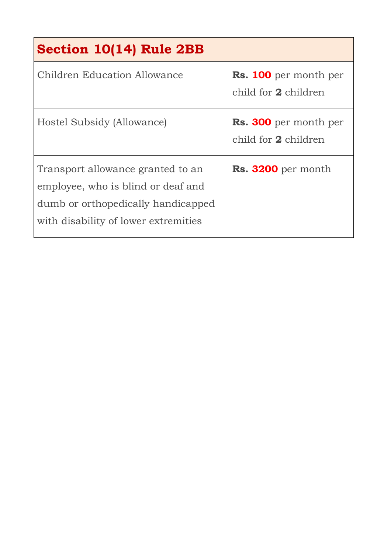| Section 10(14) Rule 2BB                                                                                                                               |                                                      |
|-------------------------------------------------------------------------------------------------------------------------------------------------------|------------------------------------------------------|
| Children Education Allowance                                                                                                                          | <b>Rs. 100</b> per month per<br>child for 2 children |
| Hostel Subsidy (Allowance)                                                                                                                            | <b>Rs. 300</b> per month per<br>child for 2 children |
| Transport allowance granted to an<br>employee, who is blind or deaf and<br>dumb or orthopedically handicapped<br>with disability of lower extremities | Rs. 3200 per month                                   |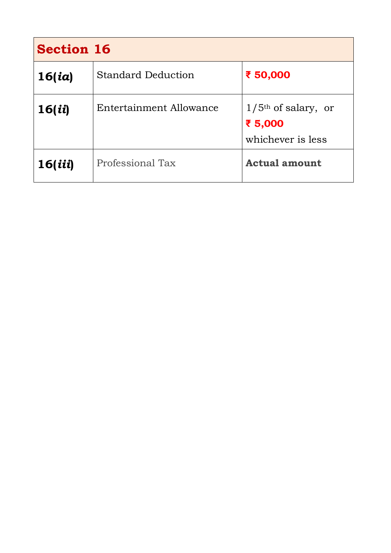| <b>Section 16</b> |                           |                                                                   |  |
|-------------------|---------------------------|-------------------------------------------------------------------|--|
| 16(id)            | <b>Standard Deduction</b> | ₹ 50,000                                                          |  |
| 16(ii)            | Entertainment Allowance   | $1/5$ <sup>th</sup> of salary, or<br>₹ 5,000<br>whichever is less |  |
| 16(iii)           | Professional Tax          | <b>Actual amount</b>                                              |  |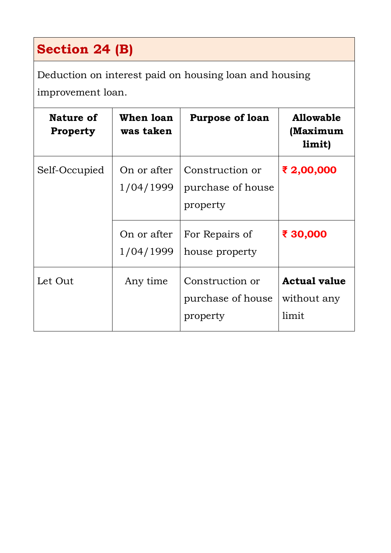# **Section 24 (B)**

Deduction on interest paid on housing loan and housing improvement loan.

| Nature of<br><b>Property</b> | When loan<br>was taken   | <b>Purpose of loan</b>                           | <b>Allowable</b><br>(Maximum<br>limit)      |
|------------------------------|--------------------------|--------------------------------------------------|---------------------------------------------|
| Self-Occupied                | On or after<br>1/04/1999 | Construction or<br>purchase of house<br>property | ₹ 2,00,000                                  |
|                              | On or after<br>1/04/1999 | For Repairs of<br>house property                 | ₹ 30,000                                    |
| Let Out                      | Any time                 | Construction or<br>purchase of house<br>property | <b>Actual value</b><br>without any<br>limit |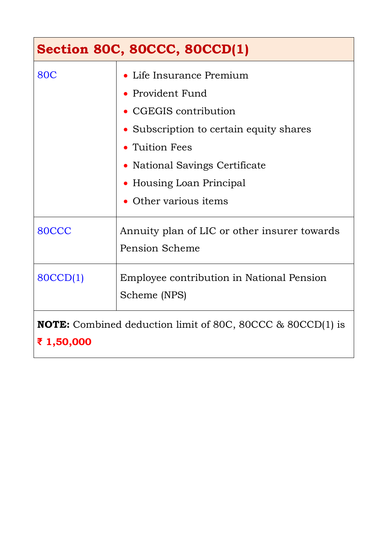| <b>Section 80C, 80CCC, 80CCD(1)</b>                                             |                                                                                                                                                                                                                           |  |
|---------------------------------------------------------------------------------|---------------------------------------------------------------------------------------------------------------------------------------------------------------------------------------------------------------------------|--|
| <b>80C</b>                                                                      | • Life Insurance Premium<br>• Provident Fund<br>• CGEGIS contribution<br>• Subscription to certain equity shares<br>• Tuition Fees<br>• National Savings Certificate<br>• Housing Loan Principal<br>• Other various items |  |
| 80CCC                                                                           | Annuity plan of LIC or other insurer towards<br>Pension Scheme                                                                                                                                                            |  |
| 80CCD(1)                                                                        | Employee contribution in National Pension<br>Scheme (NPS)                                                                                                                                                                 |  |
| <b>NOTE:</b> Combined deduction limit of 80C, 80CCC & 80CCD(1) is<br>₹ 1,50,000 |                                                                                                                                                                                                                           |  |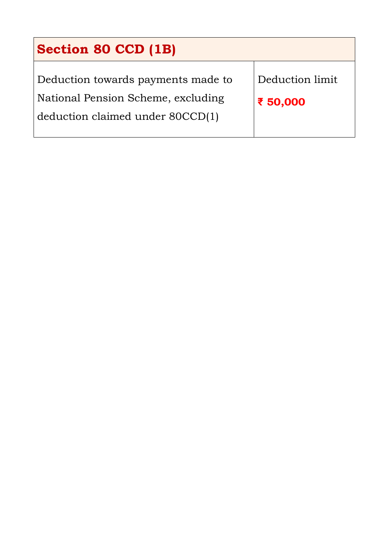| <b>Section 80 CCD (1B)</b>                                                                                   |                             |  |
|--------------------------------------------------------------------------------------------------------------|-----------------------------|--|
| Deduction towards payments made to<br>National Pension Scheme, excluding<br>deduction claimed under 80CCD(1) | Deduction limit<br>₹ 50,000 |  |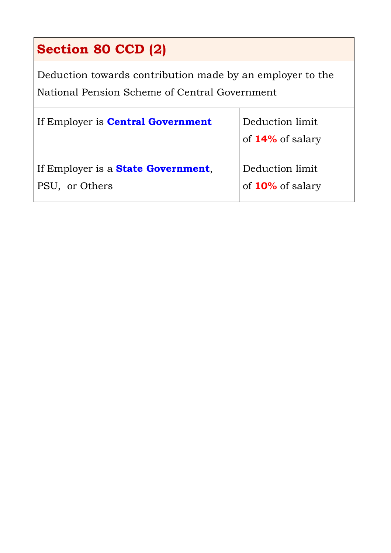# **Section 80 CCD (2)**

Deduction towards contribution made by an employer to the National Pension Scheme of Central Government

| If Employer is <b>Central Government</b>                     | Deduction limit<br>of 14% of salary |
|--------------------------------------------------------------|-------------------------------------|
| If Employer is a <b>State Government</b> ,<br>PSU, or Others | Deduction limit<br>of 10% of salary |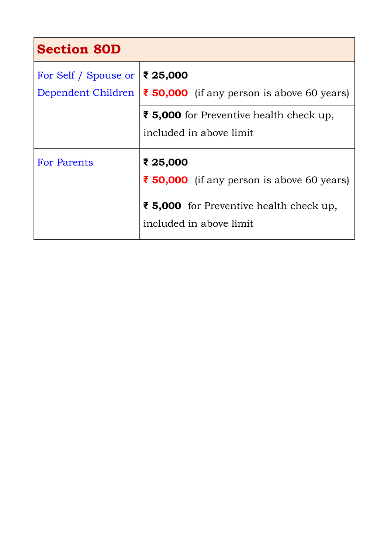| <b>Section 80D</b>                         |                                                                                                                              |
|--------------------------------------------|------------------------------------------------------------------------------------------------------------------------------|
| For Self / Spouse or<br>Dependent Children | ∣ ₹ 25,000<br>$\vert \xi$ 50,000 (if any person is above 60 years)                                                           |
|                                            | ₹ 5,000 for Preventive health check up,<br>included in above limit                                                           |
| <b>For Parents</b>                         | ₹ 25,000<br>₹ 50,000 (if any person is above 60 years)<br>₹ 5,000 for Preventive health check up,<br>included in above limit |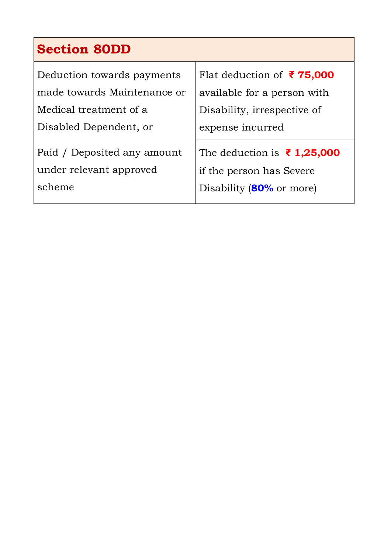# **Section 80DD**

| Deduction towards payments  | Flat deduction of ₹75,000                    |  |
|-----------------------------|----------------------------------------------|--|
| made towards Maintenance or | available for a person with                  |  |
| Medical treatment of a      | Disability, irrespective of                  |  |
| Disabled Dependent, or      | expense incurred                             |  |
| Paid / Deposited any amount | The deduction is $\bar{\mathbf{z}}$ 1,25,000 |  |
| under relevant approved     | if the person has Severe                     |  |
| scheme                      | Disability (80% or more)                     |  |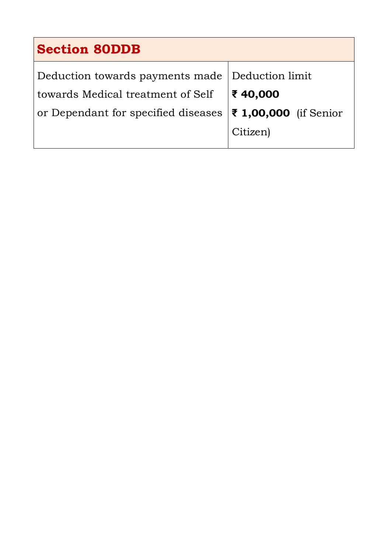| <b>Section 80DDB</b>                                            |  |  |
|-----------------------------------------------------------------|--|--|
| Deduction towards payments made Deduction limit                 |  |  |
| ₹40,000                                                         |  |  |
| or Dependant for specified diseases $ \xi $ 1,00,000 (if Senior |  |  |
| Citizen)                                                        |  |  |
|                                                                 |  |  |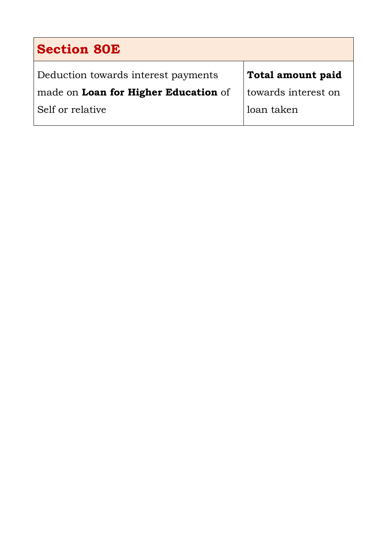| <b>Section 80E</b>                   |                     |  |
|--------------------------------------|---------------------|--|
| Deduction towards interest payments  | Total amount paid   |  |
| made on Loan for Higher Education of | towards interest on |  |
| Self or relative                     | loan taken          |  |

 $\mathsf{l}$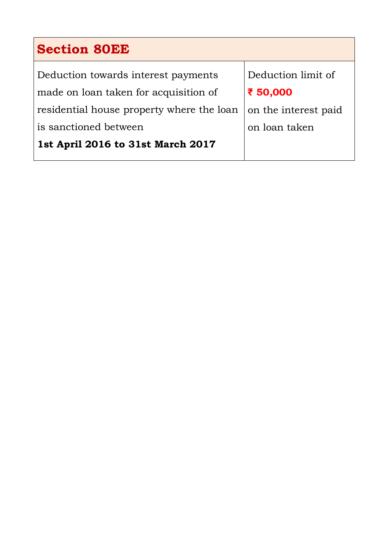| <b>Section 80EE</b>                       |                      |  |
|-------------------------------------------|----------------------|--|
| Deduction towards interest payments       | Deduction limit of   |  |
| made on loan taken for acquisition of     | ₹ 50,000             |  |
| residential house property where the loan | on the interest paid |  |
| is sanctioned between                     | on loan taken        |  |
| 1st April 2016 to 31st March 2017         |                      |  |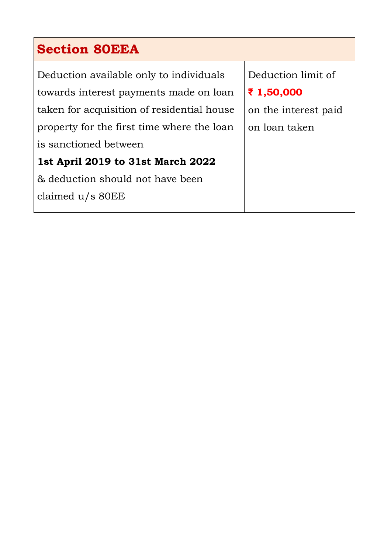#### **Section 80EEA**

Deduction available only to individuals towards interest payments made on loan taken for acquisition of residential house property for the first time where the loan is sanctioned between

#### **1st April 2019 to 31st March 2022**

& deduction should not have been claimed u/s 80EE

Deduction limit of **₹ 1,50,000** on the interest paid on loan taken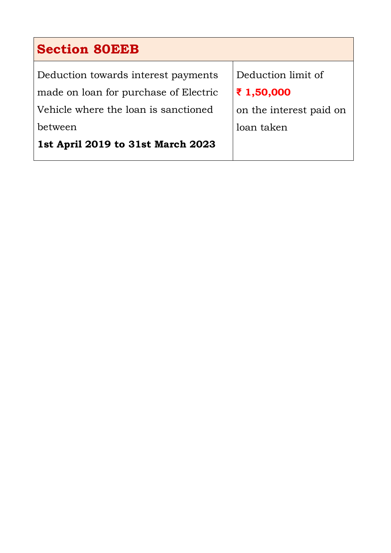#### **Section 80EEB**

Deduction towards interest payments made on loan for purchase of Electric Vehicle where the loan is sanctioned between

**1st April 2019 to 31st March 2023**

Deduction limit of **₹ 1,50,000** on the interest paid on loan taken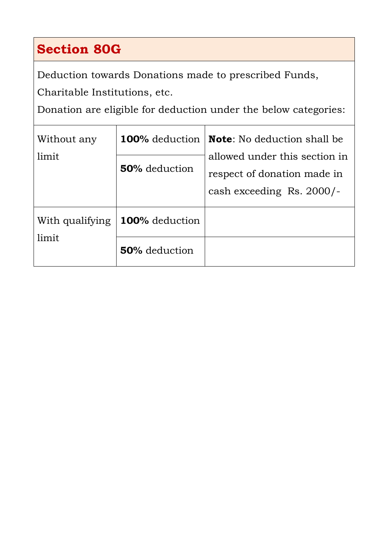### **Section 80G**

Deduction towards Donations made to prescribed Funds,

Charitable Institutions, etc.

Donation are eligible for deduction under the below categories:

| Without any              | 100% deduction                                                                       | <b>Note</b> : No deduction shall be |  |
|--------------------------|--------------------------------------------------------------------------------------|-------------------------------------|--|
| limit                    | allowed under this section in<br><b>50%</b> deduction<br>respect of donation made in |                                     |  |
|                          |                                                                                      | cash exceeding Rs. 2000/-           |  |
| With qualifying<br>limit | 100% deduction                                                                       |                                     |  |
|                          | <b>50%</b> deduction                                                                 |                                     |  |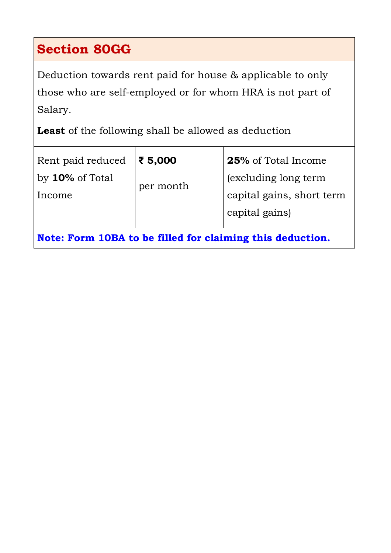### **Section 80GG**

Deduction towards rent paid for house & applicable to only those who are self-employed or for whom HRA is not part of Salary.

**Least** of the following shall be allowed as deduction

| Rent paid reduced $ \xi 5,000$                            |           | <b>25%</b> of Total Income |  |  |
|-----------------------------------------------------------|-----------|----------------------------|--|--|
| by $10\%$ of Total                                        |           | (excluding long term       |  |  |
| Income                                                    | per month | capital gains, short term  |  |  |
|                                                           |           | capital gains)             |  |  |
| Note: Form 10BA to be filled for claiming this deduction. |           |                            |  |  |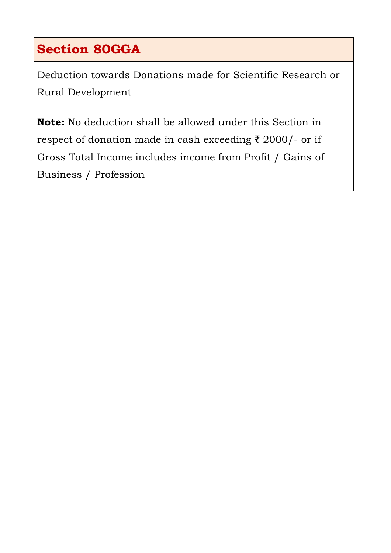## **Section 80GGA**

Deduction towards Donations made for Scientific Research or Rural Development

**Note:** No deduction shall be allowed under this Section in respect of donation made in cash exceeding ₹ 2000/- or if Gross Total Income includes income from Profit / Gains of Business / Profession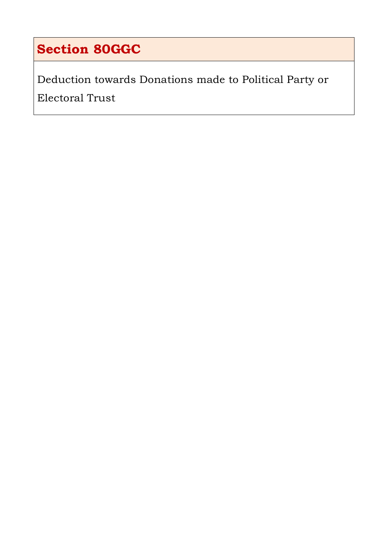## **Section 80GGC**

Deduction towards Donations made to Political Party or Electoral Trust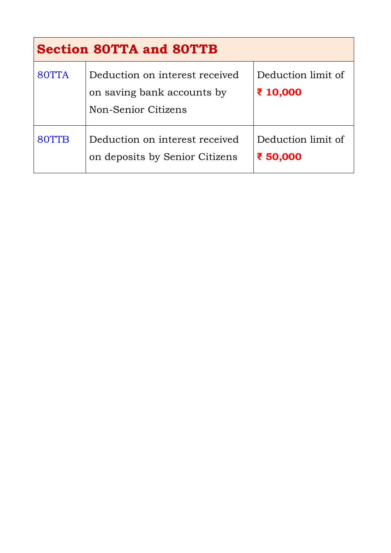| <b>Section 80TTA and 80TTB</b> |                                                                                     |                                |  |  |
|--------------------------------|-------------------------------------------------------------------------------------|--------------------------------|--|--|
| 80TTA                          | Deduction on interest received<br>on saving bank accounts by<br>Non-Senior Citizens | Deduction limit of<br>₹ 10,000 |  |  |
| 80TTB                          | Deduction on interest received<br>on deposits by Senior Citizens                    | Deduction limit of<br>₹ 50,000 |  |  |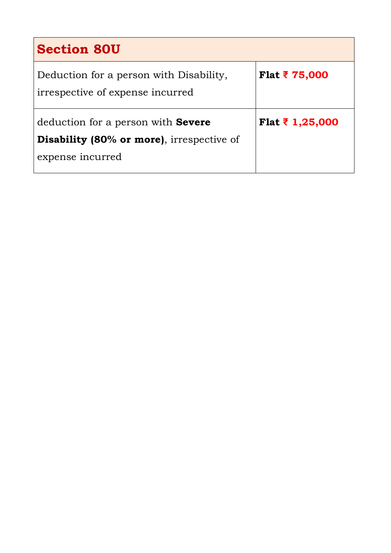| <b>Section 80U</b>                                                                             |                     |
|------------------------------------------------------------------------------------------------|---------------------|
| Deduction for a person with Disability,<br>irrespective of expense incurred                    | <b>Flat ₹75,000</b> |
| deduction for a person with <b>Severe</b><br><b>Disability (80% or more)</b> , irrespective of | Flat ₹ 1,25,000     |
| expense incurred                                                                               |                     |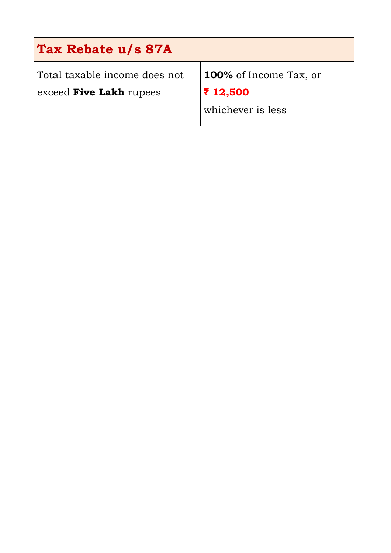| Tax Rebate u/s 87A            |                               |  |  |  |
|-------------------------------|-------------------------------|--|--|--|
| Total taxable income does not | <b>100%</b> of Income Tax, or |  |  |  |
| exceed Five Lakh rupees       | ₹ 12,500                      |  |  |  |
|                               | whichever is less             |  |  |  |
|                               |                               |  |  |  |